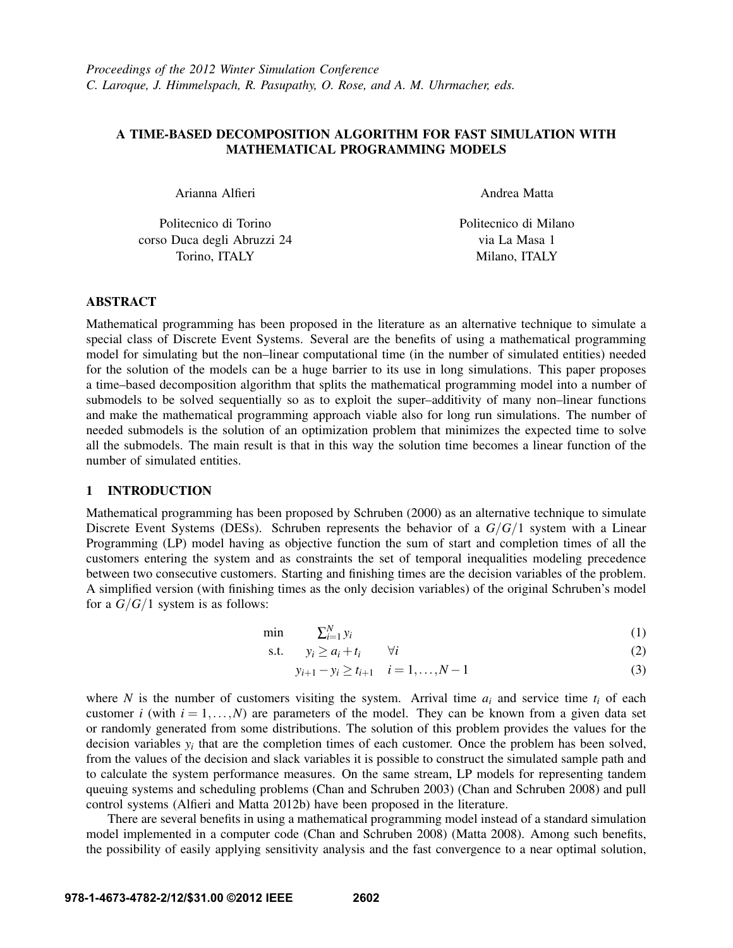# A TIME-BASED DECOMPOSITION ALGORITHM FOR FAST SIMULATION WITH MATHEMATICAL PROGRAMMING MODELS

Arianna Alfieri

Politecnico di Torino corso Duca degli Abruzzi 24 Torino, ITALY

Andrea Matta

Politecnico di Milano via La Masa 1 Milano, ITALY

## ABSTRACT

Mathematical programming has been proposed in the literature as an alternative technique to simulate a special class of Discrete Event Systems. Several are the benefits of using a mathematical programming model for simulating but the non–linear computational time (in the number of simulated entities) needed for the solution of the models can be a huge barrier to its use in long simulations. This paper proposes a time–based decomposition algorithm that splits the mathematical programming model into a number of submodels to be solved sequentially so as to exploit the super–additivity of many non–linear functions and make the mathematical programming approach viable also for long run simulations. The number of needed submodels is the solution of an optimization problem that minimizes the expected time to solve all the submodels. The main result is that in this way the solution time becomes a linear function of the number of simulated entities.

# 1 INTRODUCTION

Mathematical programming has been proposed by Schruben (2000) as an alternative technique to simulate Discrete Event Systems (DESs). Schruben represents the behavior of a *G*/*G*/1 system with a Linear Programming (LP) model having as objective function the sum of start and completion times of all the customers entering the system and as constraints the set of temporal inequalities modeling precedence between two consecutive customers. Starting and finishing times are the decision variables of the problem. A simplified version (with finishing times as the only decision variables) of the original Schruben's model for a *G*/*G*/1 system is as follows:

$$
\min \qquad \sum_{i=1}^{N} y_i \tag{1}
$$

$$
\text{s.t.} \qquad y_i \ge a_i + t_i \qquad \forall i \tag{2}
$$

$$
y_{i+1} - y_i \ge t_{i+1} \quad i = 1, ..., N - 1
$$
 (3)

where *N* is the number of customers visiting the system. Arrival time  $a_i$  and service time  $t_i$  of each customer *i* (with  $i = 1, ..., N$ ) are parameters of the model. They can be known from a given data set or randomly generated from some distributions. The solution of this problem provides the values for the decision variables  $y_i$  that are the completion times of each customer. Once the problem has been solved, from the values of the decision and slack variables it is possible to construct the simulated sample path and to calculate the system performance measures. On the same stream, LP models for representing tandem queuing systems and scheduling problems (Chan and Schruben 2003) (Chan and Schruben 2008) and pull control systems (Alfieri and Matta 2012b) have been proposed in the literature.

There are several benefits in using a mathematical programming model instead of a standard simulation model implemented in a computer code (Chan and Schruben 2008) (Matta 2008). Among such benefits, the possibility of easily applying sensitivity analysis and the fast convergence to a near optimal solution,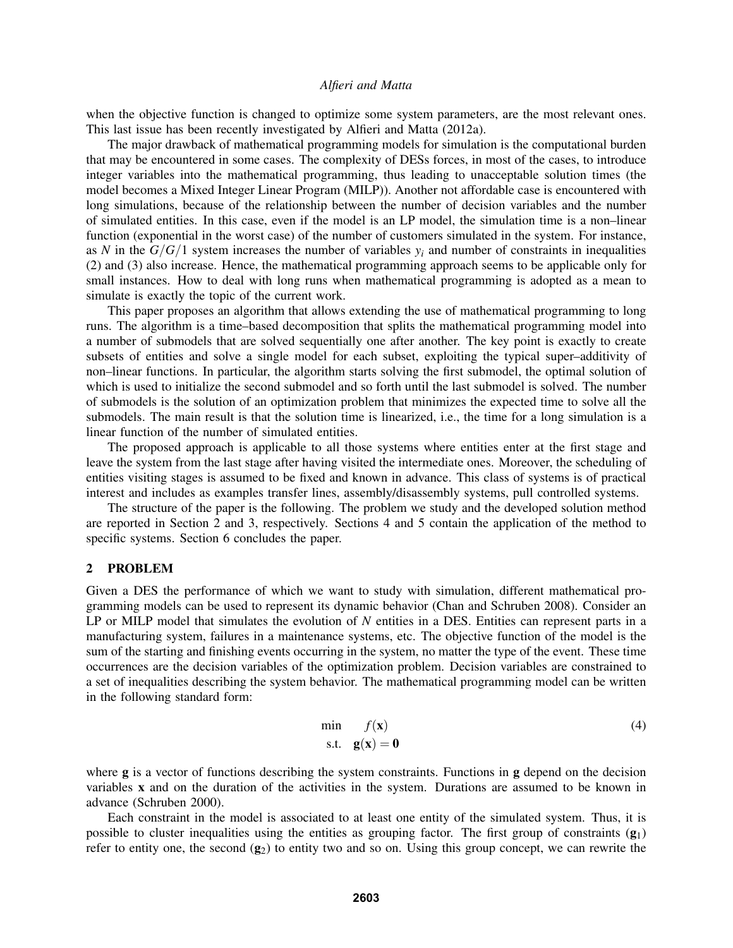when the objective function is changed to optimize some system parameters, are the most relevant ones. This last issue has been recently investigated by Alfieri and Matta (2012a).

The major drawback of mathematical programming models for simulation is the computational burden that may be encountered in some cases. The complexity of DESs forces, in most of the cases, to introduce integer variables into the mathematical programming, thus leading to unacceptable solution times (the model becomes a Mixed Integer Linear Program (MILP)). Another not affordable case is encountered with long simulations, because of the relationship between the number of decision variables and the number of simulated entities. In this case, even if the model is an LP model, the simulation time is a non–linear function (exponential in the worst case) of the number of customers simulated in the system. For instance, as *N* in the  $G/G/1$  system increases the number of variables  $y_i$  and number of constraints in inequalities (2) and (3) also increase. Hence, the mathematical programming approach seems to be applicable only for small instances. How to deal with long runs when mathematical programming is adopted as a mean to simulate is exactly the topic of the current work.

This paper proposes an algorithm that allows extending the use of mathematical programming to long runs. The algorithm is a time–based decomposition that splits the mathematical programming model into a number of submodels that are solved sequentially one after another. The key point is exactly to create subsets of entities and solve a single model for each subset, exploiting the typical super–additivity of non–linear functions. In particular, the algorithm starts solving the first submodel, the optimal solution of which is used to initialize the second submodel and so forth until the last submodel is solved. The number of submodels is the solution of an optimization problem that minimizes the expected time to solve all the submodels. The main result is that the solution time is linearized, i.e., the time for a long simulation is a linear function of the number of simulated entities.

The proposed approach is applicable to all those systems where entities enter at the first stage and leave the system from the last stage after having visited the intermediate ones. Moreover, the scheduling of entities visiting stages is assumed to be fixed and known in advance. This class of systems is of practical interest and includes as examples transfer lines, assembly/disassembly systems, pull controlled systems.

The structure of the paper is the following. The problem we study and the developed solution method are reported in Section 2 and 3, respectively. Sections 4 and 5 contain the application of the method to specific systems. Section 6 concludes the paper.

### 2 PROBLEM

Given a DES the performance of which we want to study with simulation, different mathematical programming models can be used to represent its dynamic behavior (Chan and Schruben 2008). Consider an LP or MILP model that simulates the evolution of *N* entities in a DES. Entities can represent parts in a manufacturing system, failures in a maintenance systems, etc. The objective function of the model is the sum of the starting and finishing events occurring in the system, no matter the type of the event. These time occurrences are the decision variables of the optimization problem. Decision variables are constrained to a set of inequalities describing the system behavior. The mathematical programming model can be written in the following standard form:

$$
\begin{array}{ll}\n\min & f(\mathbf{x}) \\
\text{s.t.} & \mathbf{g}(\mathbf{x}) = \mathbf{0}\n\end{array} \tag{4}
$$

where g is a vector of functions describing the system constraints. Functions in g depend on the decision variables x and on the duration of the activities in the system. Durations are assumed to be known in advance (Schruben 2000).

Each constraint in the model is associated to at least one entity of the simulated system. Thus, it is possible to cluster inequalities using the entities as grouping factor. The first group of constraints  $(g_1)$ refer to entity one, the second  $(g_2)$  to entity two and so on. Using this group concept, we can rewrite the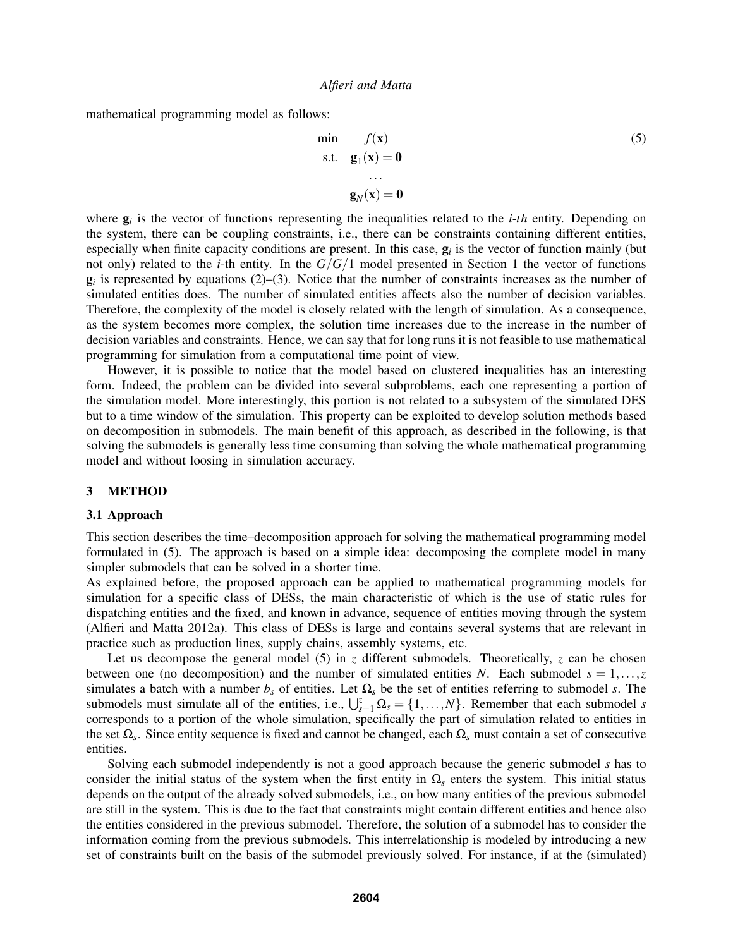mathematical programming model as follows:

$$
\begin{array}{ll}\n\min & f(\mathbf{x}) \\
\text{s.t.} & \mathbf{g}_1(\mathbf{x}) = \mathbf{0} \\
& \dots \\
& \mathbf{g}_N(\mathbf{x}) = \mathbf{0}\n\end{array} \tag{5}
$$

where g*<sup>i</sup>* is the vector of functions representing the inequalities related to the *i*-*th* entity. Depending on the system, there can be coupling constraints, i.e., there can be constraints containing different entities, especially when finite capacity conditions are present. In this case, g*<sup>i</sup>* is the vector of function mainly (but not only) related to the *i*-th entity. In the  $G/G/1$  model presented in Section 1 the vector of functions  $\mathbf{g}_i$  is represented by equations (2)–(3). Notice that the number of constraints increases as the number of simulated entities does. The number of simulated entities affects also the number of decision variables. Therefore, the complexity of the model is closely related with the length of simulation. As a consequence, as the system becomes more complex, the solution time increases due to the increase in the number of decision variables and constraints. Hence, we can say that for long runs it is not feasible to use mathematical programming for simulation from a computational time point of view.

However, it is possible to notice that the model based on clustered inequalities has an interesting form. Indeed, the problem can be divided into several subproblems, each one representing a portion of the simulation model. More interestingly, this portion is not related to a subsystem of the simulated DES but to a time window of the simulation. This property can be exploited to develop solution methods based on decomposition in submodels. The main benefit of this approach, as described in the following, is that solving the submodels is generally less time consuming than solving the whole mathematical programming model and without loosing in simulation accuracy.

#### 3 METHOD

#### 3.1 Approach

This section describes the time–decomposition approach for solving the mathematical programming model formulated in (5). The approach is based on a simple idea: decomposing the complete model in many simpler submodels that can be solved in a shorter time.

As explained before, the proposed approach can be applied to mathematical programming models for simulation for a specific class of DESs, the main characteristic of which is the use of static rules for dispatching entities and the fixed, and known in advance, sequence of entities moving through the system (Alfieri and Matta 2012a). This class of DESs is large and contains several systems that are relevant in practice such as production lines, supply chains, assembly systems, etc.

Let us decompose the general model  $(5)$  in *z* different submodels. Theoretically, *z* can be chosen between one (no decomposition) and the number of simulated entities *N*. Each submodel  $s = 1, \ldots, z$ simulates a batch with a number  $b_s$  of entities. Let  $\Omega_s$  be the set of entities referring to submodel *s*. The submodels must simulate all of the entities, i.e.,  $\bigcup_{s=1}^{z} \Omega_s = \{1, ..., N\}$ . Remember that each submodel *s* corresponds to a portion of the whole simulation, specifically the part of simulation related to entities in the set Ω*<sup>s</sup>* . Since entity sequence is fixed and cannot be changed, each Ω*<sup>s</sup>* must contain a set of consecutive entities.

Solving each submodel independently is not a good approach because the generic submodel *s* has to consider the initial status of the system when the first entity in  $\Omega_s$  enters the system. This initial status depends on the output of the already solved submodels, i.e., on how many entities of the previous submodel are still in the system. This is due to the fact that constraints might contain different entities and hence also the entities considered in the previous submodel. Therefore, the solution of a submodel has to consider the information coming from the previous submodels. This interrelationship is modeled by introducing a new set of constraints built on the basis of the submodel previously solved. For instance, if at the (simulated)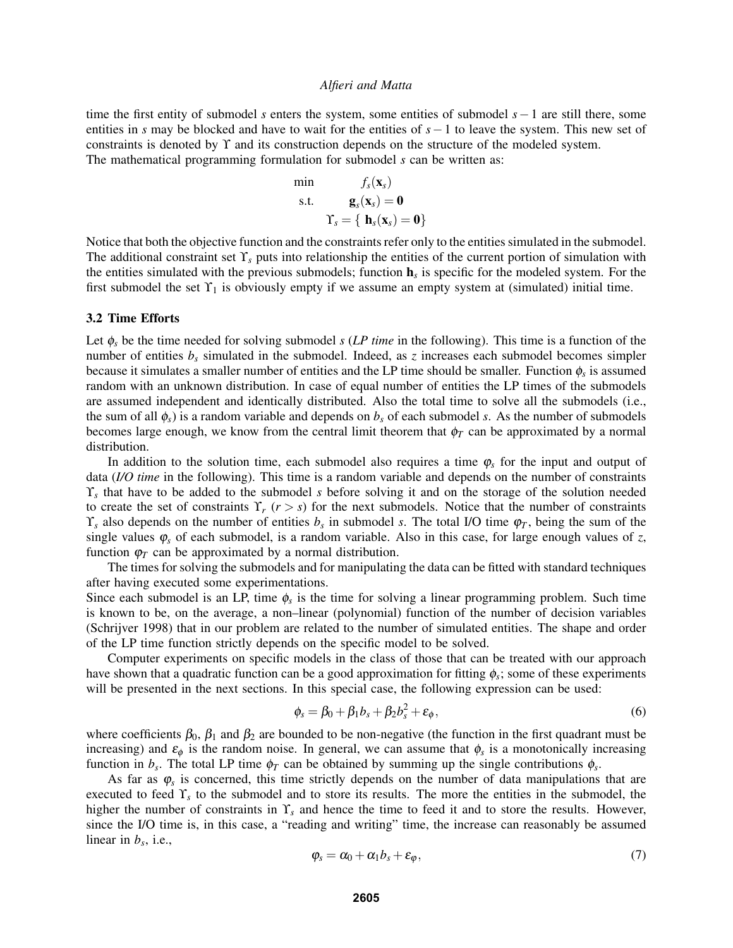time the first entity of submodel *s* enters the system, some entities of submodel *s*−1 are still there, some entities in *s* may be blocked and have to wait for the entities of *s*−1 to leave the system. This new set of constraints is denoted by  $\Upsilon$  and its construction depends on the structure of the modeled system. The mathematical programming formulation for submodel *s* can be written as:

$$
\begin{aligned}\n\min \qquad & f_s(\mathbf{x}_s) \\
\text{s.t.} \qquad & \mathbf{g}_s(\mathbf{x}_s) = \mathbf{0} \\
\Upsilon_s &= \{ \ \mathbf{h}_s(\mathbf{x}_s) = \mathbf{0} \}\n\end{aligned}
$$

Notice that both the objective function and the constraints refer only to the entities simulated in the submodel. The additional constraint set ϒ*<sup>s</sup>* puts into relationship the entities of the current portion of simulation with the entities simulated with the previous submodels; function h*<sup>s</sup>* is specific for the modeled system. For the first submodel the set  $Y_1$  is obviously empty if we assume an empty system at (simulated) initial time.

#### 3.2 Time Efforts

Let φ*<sup>s</sup>* be the time needed for solving submodel *s* (*LP time* in the following). This time is a function of the number of entities  $b<sub>s</sub>$  simulated in the submodel. Indeed, as *z* increases each submodel becomes simpler because it simulates a smaller number of entities and the LP time should be smaller. Function  $\phi_s$  is assumed random with an unknown distribution. In case of equal number of entities the LP times of the submodels are assumed independent and identically distributed. Also the total time to solve all the submodels (i.e., the sum of all  $\phi$ <sup>s</sup>) is a random variable and depends on  $b_s$  of each submodel *s*. As the number of submodels becomes large enough, we know from the central limit theorem that  $\phi_T$  can be approximated by a normal distribution.

In addition to the solution time, each submodel also requires a time  $\varphi_s$  for the input and output of data (*I/O time* in the following). This time is a random variable and depends on the number of constraints ϒ*s* that have to be added to the submodel *s* before solving it and on the storage of the solution needed to create the set of constraints  $\Upsilon_r$  ( $r > s$ ) for the next submodels. Notice that the number of constraints  $\Upsilon_s$  also depends on the number of entities  $b_s$  in submodel *s*. The total I/O time  $\varphi_T$ , being the sum of the single values  $\varphi_s$  of each submodel, is a random variable. Also in this case, for large enough values of *z*, function  $\varphi_T$  can be approximated by a normal distribution.

The times for solving the submodels and for manipulating the data can be fitted with standard techniques after having executed some experimentations.

Since each submodel is an LP, time  $\phi_s$  is the time for solving a linear programming problem. Such time is known to be, on the average, a non–linear (polynomial) function of the number of decision variables (Schrijver 1998) that in our problem are related to the number of simulated entities. The shape and order of the LP time function strictly depends on the specific model to be solved.

Computer experiments on specific models in the class of those that can be treated with our approach have shown that a quadratic function can be a good approximation for fitting  $\phi_s$ ; some of these experiments will be presented in the next sections. In this special case, the following expression can be used:

$$
\phi_s = \beta_0 + \beta_1 b_s + \beta_2 b_s^2 + \varepsilon_\phi, \tag{6}
$$

where coefficients  $\beta_0$ ,  $\beta_1$  and  $\beta_2$  are bounded to be non-negative (the function in the first quadrant must be increasing) and  $\varepsilon_{\phi}$  is the random noise. In general, we can assume that  $\phi_s$  is a monotonically increasing function in  $b_s$ . The total LP time  $\phi_T$  can be obtained by summing up the single contributions  $\phi_s$ .

As far as  $\varphi_s$  is concerned, this time strictly depends on the number of data manipulations that are executed to feed  $\Upsilon_s$  to the submodel and to store its results. The more the entities in the submodel, the higher the number of constraints in ϒ*<sup>s</sup>* and hence the time to feed it and to store the results. However, since the I/O time is, in this case, a "reading and writing" time, the increase can reasonably be assumed linear in  $b_s$ , i.e.,

$$
\varphi_s = \alpha_0 + \alpha_1 b_s + \varepsilon_\varphi, \tag{7}
$$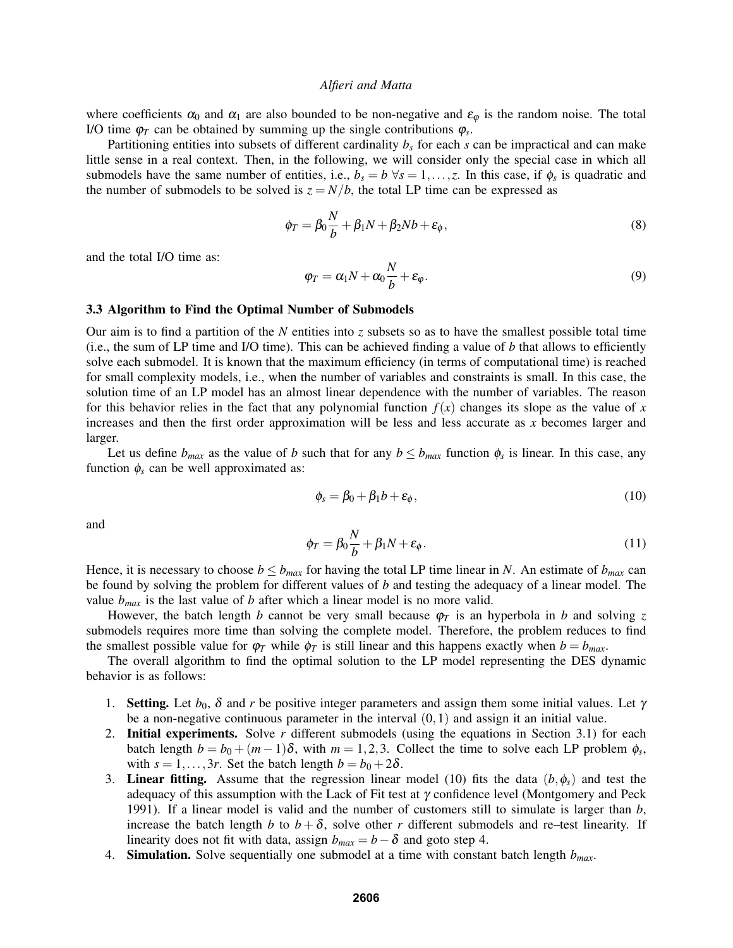where coefficients  $\alpha_0$  and  $\alpha_1$  are also bounded to be non-negative and  $\varepsilon_\varphi$  is the random noise. The total I/O time  $\varphi_T$  can be obtained by summing up the single contributions  $\varphi_s$ .

Partitioning entities into subsets of different cardinality  $b<sub>s</sub>$  for each *s* can be impractical and can make little sense in a real context. Then, in the following, we will consider only the special case in which all submodels have the same number of entities, i.e.,  $b_s = b \,\forall s = 1,\dots,z$ . In this case, if  $\phi_s$  is quadratic and the number of submodels to be solved is  $z = N/b$ , the total LP time can be expressed as

$$
\phi_T = \beta_0 \frac{N}{b} + \beta_1 N + \beta_2 N b + \varepsilon_\phi, \tag{8}
$$

and the total I/O time as:

$$
\varphi_T = \alpha_1 N + \alpha_0 \frac{N}{b} + \varepsilon_\varphi. \tag{9}
$$

#### 3.3 Algorithm to Find the Optimal Number of Submodels

Our aim is to find a partition of the *N* entities into *z* subsets so as to have the smallest possible total time (i.e., the sum of LP time and I/O time). This can be achieved finding a value of  $b$  that allows to efficiently solve each submodel. It is known that the maximum efficiency (in terms of computational time) is reached for small complexity models, i.e., when the number of variables and constraints is small. In this case, the solution time of an LP model has an almost linear dependence with the number of variables. The reason for this behavior relies in the fact that any polynomial function  $f(x)$  changes its slope as the value of x increases and then the first order approximation will be less and less accurate as *x* becomes larger and larger.

Let us define  $b_{max}$  as the value of *b* such that for any  $b \le b_{max}$  function  $\phi_s$  is linear. In this case, any function  $\phi_s$  can be well approximated as:

$$
\phi_s = \beta_0 + \beta_1 b + \varepsilon_\phi, \tag{10}
$$

and

$$
\phi_T = \beta_0 \frac{N}{b} + \beta_1 N + \varepsilon_\phi. \tag{11}
$$

Hence, it is necessary to choose  $b \le b_{max}$  for having the total LP time linear in *N*. An estimate of  $b_{max}$  can be found by solving the problem for different values of *b* and testing the adequacy of a linear model. The value  $b_{max}$  is the last value of *b* after which a linear model is no more valid.

However, the batch length *b* cannot be very small because  $\varphi_T$  is an hyperbola in *b* and solving *z* submodels requires more time than solving the complete model. Therefore, the problem reduces to find the smallest possible value for  $\varphi_T$  while  $\varphi_T$  is still linear and this happens exactly when  $b = b_{max}$ .

The overall algorithm to find the optimal solution to the LP model representing the DES dynamic behavior is as follows:

- 1. Setting. Let  $b_0$ ,  $\delta$  and  $r$  be positive integer parameters and assign them some initial values. Let  $\gamma$ be a non-negative continuous parameter in the interval  $(0,1)$  and assign it an initial value.
- 2. Initial experiments. Solve *r* different submodels (using the equations in Section 3.1) for each batch length  $b = b_0 + (m-1)\delta$ , with  $m = 1, 2, 3$ . Collect the time to solve each LP problem  $\phi_s$ , with  $s = 1, \ldots, 3r$ . Set the batch length  $b = b_0 + 2\delta$ .
- 3. Linear fitting. Assume that the regression linear model (10) fits the data  $(b, \phi_s)$  and test the adequacy of this assumption with the Lack of Fit test at  $\gamma$  confidence level (Montgomery and Peck 1991). If a linear model is valid and the number of customers still to simulate is larger than *b*, increase the batch length *b* to  $b + \delta$ , solve other *r* different submodels and re–test linearity. If linearity does not fit with data, assign  $b_{max} = b - \delta$  and goto step 4.
- 4. Simulation. Solve sequentially one submodel at a time with constant batch length *bmax*.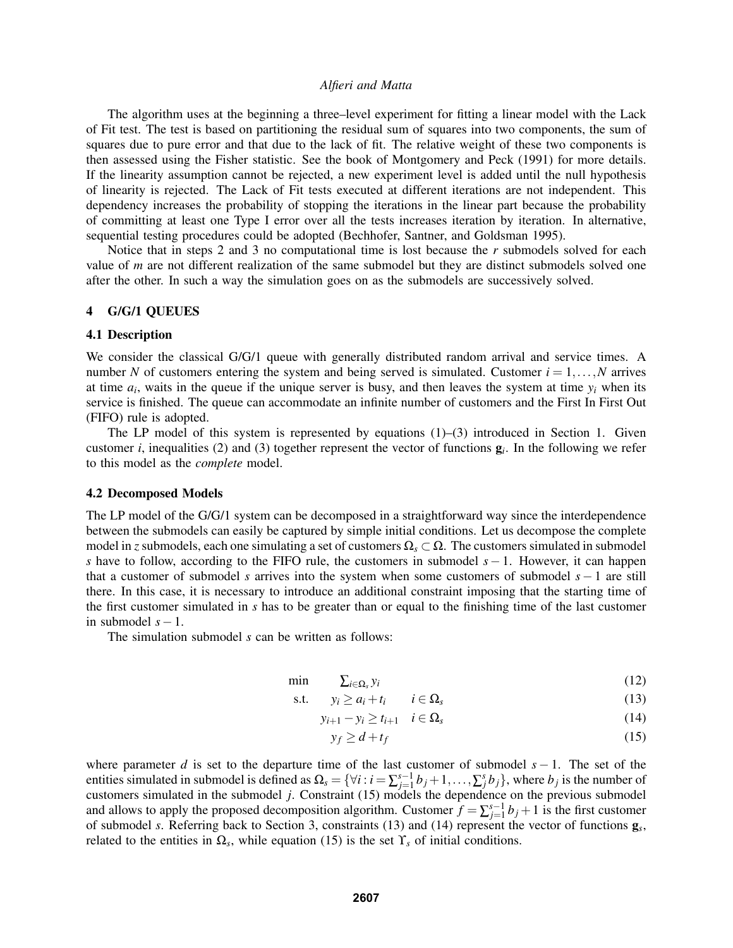The algorithm uses at the beginning a three–level experiment for fitting a linear model with the Lack of Fit test. The test is based on partitioning the residual sum of squares into two components, the sum of squares due to pure error and that due to the lack of fit. The relative weight of these two components is then assessed using the Fisher statistic. See the book of Montgomery and Peck (1991) for more details. If the linearity assumption cannot be rejected, a new experiment level is added until the null hypothesis of linearity is rejected. The Lack of Fit tests executed at different iterations are not independent. This dependency increases the probability of stopping the iterations in the linear part because the probability of committing at least one Type I error over all the tests increases iteration by iteration. In alternative, sequential testing procedures could be adopted (Bechhofer, Santner, and Goldsman 1995).

Notice that in steps 2 and 3 no computational time is lost because the *r* submodels solved for each value of *m* are not different realization of the same submodel but they are distinct submodels solved one after the other. In such a way the simulation goes on as the submodels are successively solved.

### 4 G/G/1 QUEUES

#### 4.1 Description

We consider the classical G/G/1 queue with generally distributed random arrival and service times. A number *N* of customers entering the system and being served is simulated. Customer  $i = 1, \ldots, N$  arrives at time  $a_i$ , waits in the queue if the unique server is busy, and then leaves the system at time  $y_i$  when its service is finished. The queue can accommodate an infinite number of customers and the First In First Out (FIFO) rule is adopted.

The LP model of this system is represented by equations  $(1)$ – $(3)$  introduced in Section 1. Given customer *i*, inequalities (2) and (3) together represent the vector of functions g*<sup>i</sup>* . In the following we refer to this model as the *complete* model.

#### 4.2 Decomposed Models

The LP model of the G/G/1 system can be decomposed in a straightforward way since the interdependence between the submodels can easily be captured by simple initial conditions. Let us decompose the complete model in *z* submodels, each one simulating a set of customers  $\Omega$ <sub>*s*</sub>  $\subset$  Ω. The customers simulated in submodel *s* have to follow, according to the FIFO rule, the customers in submodel *s*−1. However, it can happen that a customer of submodel *s* arrives into the system when some customers of submodel *s*−1 are still there. In this case, it is necessary to introduce an additional constraint imposing that the starting time of the first customer simulated in *s* has to be greater than or equal to the finishing time of the last customer in submodel *s*−1.

The simulation submodel *s* can be written as follows:

$$
\min \qquad \sum_{i \in \Omega_s} y_i \tag{12}
$$

$$
\text{s.t.} \qquad y_i \ge a_i + t_i \qquad i \in \Omega_s \tag{13}
$$

$$
y_{i+1} - y_i \ge t_{i+1} \quad i \in \Omega_s \tag{14}
$$

$$
y_f \ge d + t_f \tag{15}
$$

where parameter *d* is set to the departure time of the last customer of submodel *s* − 1. The set of the entities simulated in submodel is defined as  $\Omega_s = \{ \forall i : i = \sum_{j=1}^{s-1} b_j + 1, \ldots, \sum_j^s b_j \}$ , where  $b_j$  is the number of customers simulated in the submodel *j*. Constraint (15) models the dependence on the previous submodel and allows to apply the proposed decomposition algorithm. Customer  $\hat{f} = \sum_{j=1}^{s-1} b_j + 1$  is the first customer of submodel *s*. Referring back to Section 3, constraints (13) and (14) represent the vector of functions g*<sup>s</sup>* , related to the entities in  $\Omega_s$ , while equation (15) is the set  $\Upsilon_s$  of initial conditions.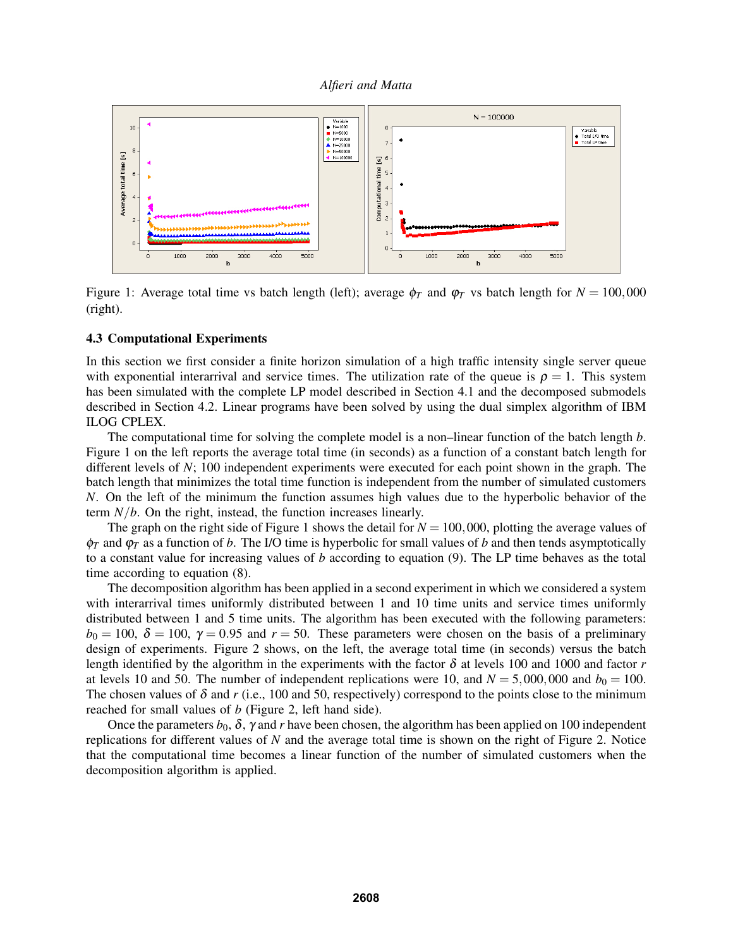

Figure 1: Average total time vs batch length (left); average  $\phi_T$  and  $\phi_T$  vs batch length for  $N = 100,000$ (right).

## 4.3 Computational Experiments

In this section we first consider a finite horizon simulation of a high traffic intensity single server queue with exponential interarrival and service times. The utilization rate of the queue is  $\rho = 1$ . This system has been simulated with the complete LP model described in Section 4.1 and the decomposed submodels described in Section 4.2. Linear programs have been solved by using the dual simplex algorithm of IBM ILOG CPLEX.

The computational time for solving the complete model is a non–linear function of the batch length *b*. Figure 1 on the left reports the average total time (in seconds) as a function of a constant batch length for different levels of *N*; 100 independent experiments were executed for each point shown in the graph. The batch length that minimizes the total time function is independent from the number of simulated customers *N*. On the left of the minimum the function assumes high values due to the hyperbolic behavior of the term  $N/b$ . On the right, instead, the function increases linearly.

The graph on the right side of Figure 1 shows the detail for *N* = 100,000, plotting the average values of  $\phi_T$  and  $\phi_T$  as a function of *b*. The I/O time is hyperbolic for small values of *b* and then tends asymptotically to a constant value for increasing values of *b* according to equation (9). The LP time behaves as the total time according to equation (8).

The decomposition algorithm has been applied in a second experiment in which we considered a system with interarrival times uniformly distributed between 1 and 10 time units and service times uniformly distributed between 1 and 5 time units. The algorithm has been executed with the following parameters:  $b_0 = 100$ ,  $\delta = 100$ ,  $\gamma = 0.95$  and  $r = 50$ . These parameters were chosen on the basis of a preliminary design of experiments. Figure 2 shows, on the left, the average total time (in seconds) versus the batch length identified by the algorithm in the experiments with the factor  $\delta$  at levels 100 and 1000 and factor *r* at levels 10 and 50. The number of independent replications were 10, and  $N = 5,000,000$  and  $b_0 = 100$ . The chosen values of  $\delta$  and  $r$  (i.e., 100 and 50, respectively) correspond to the points close to the minimum reached for small values of *b* (Figure 2, left hand side).

Once the parameters  $b_0$ ,  $\delta$ ,  $\gamma$  and  $r$  have been chosen, the algorithm has been applied on 100 independent replications for different values of *N* and the average total time is shown on the right of Figure 2. Notice that the computational time becomes a linear function of the number of simulated customers when the decomposition algorithm is applied.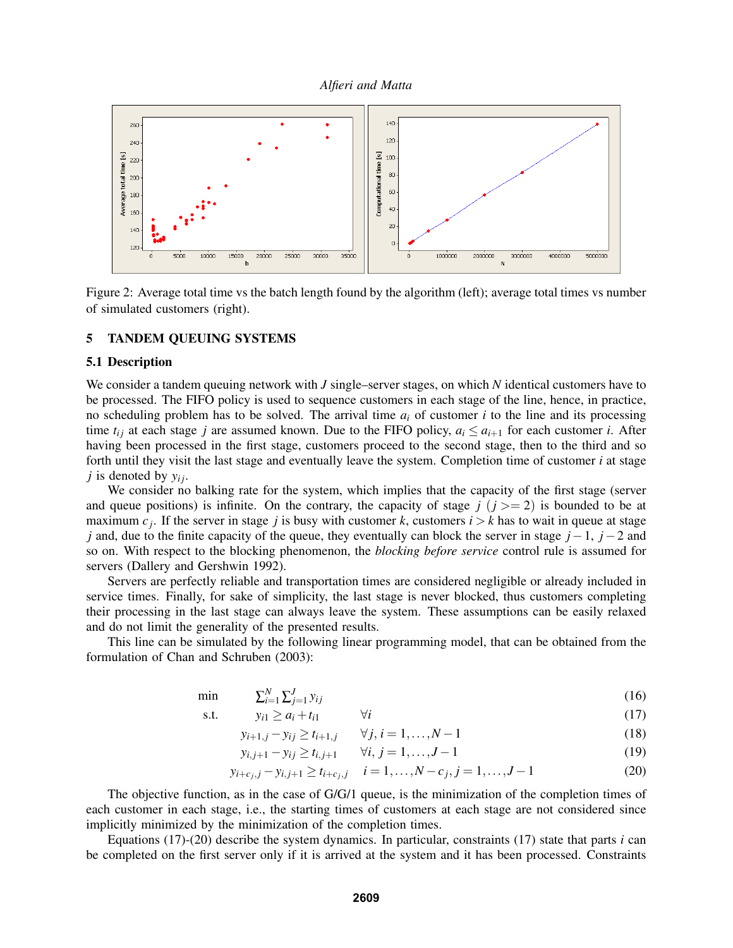

Figure 2: Average total time vs the batch length found by the algorithm (left); average total times vs number of simulated customers (right).

## 5 TANDEM QUEUING SYSTEMS

## 5.1 Description

We consider a tandem queuing network with *J* single–server stages, on which *N* identical customers have to be processed. The FIFO policy is used to sequence customers in each stage of the line, hence, in practice, no scheduling problem has to be solved. The arrival time  $a_i$  of customer *i* to the line and its processing time  $t_i$  at each stage *j* are assumed known. Due to the FIFO policy,  $a_i \le a_{i+1}$  for each customer *i*. After having been processed in the first stage, customers proceed to the second stage, then to the third and so forth until they visit the last stage and eventually leave the system. Completion time of customer *i* at stage *j* is denoted by  $y_{ij}$ .

We consider no balking rate for the system, which implies that the capacity of the first stage (server and queue positions) is infinite. On the contrary, the capacity of stage  $j$  ( $j \geq 2$ ) is bounded to be at maximum *c<sup>j</sup>* . If the server in stage *j* is busy with customer *k*, customers *i* > *k* has to wait in queue at stage *j* and, due to the finite capacity of the queue, they eventually can block the server in stage *j*−1, *j*−2 and so on. With respect to the blocking phenomenon, the *blocking before service* control rule is assumed for servers (Dallery and Gershwin 1992).

Servers are perfectly reliable and transportation times are considered negligible or already included in service times. Finally, for sake of simplicity, the last stage is never blocked, thus customers completing their processing in the last stage can always leave the system. These assumptions can be easily relaxed and do not limit the generality of the presented results.

This line can be simulated by the following linear programming model, that can be obtained from the formulation of Chan and Schruben (2003):

$$
\min \qquad \sum_{i=1}^{N} \sum_{j=1}^{J} y_{ij} \tag{16}
$$

$$
\text{s.t.} \qquad y_{i1} \ge a_i + t_{i1} \qquad \forall i \tag{17}
$$

 $y_{i+1,j} - y_{ij} \ge t_{i+1,j}$   $\forall j, i = 1,..., N-1$  (18)

 $y_{i,j+1} - y_{ij} \ge t_{i,j+1}$   $\forall i, j = 1,..., J-1$  (19)

$$
y_{i+c_j,j} - y_{i,j+1} \ge t_{i+c_j,j} \quad i = 1, \dots, N - c_j, j = 1, \dots, J - 1
$$
\n(20)

The objective function, as in the case of G/G/1 queue, is the minimization of the completion times of each customer in each stage, i.e., the starting times of customers at each stage are not considered since implicitly minimized by the minimization of the completion times.

Equations (17)-(20) describe the system dynamics. In particular, constraints (17) state that parts *i* can be completed on the first server only if it is arrived at the system and it has been processed. Constraints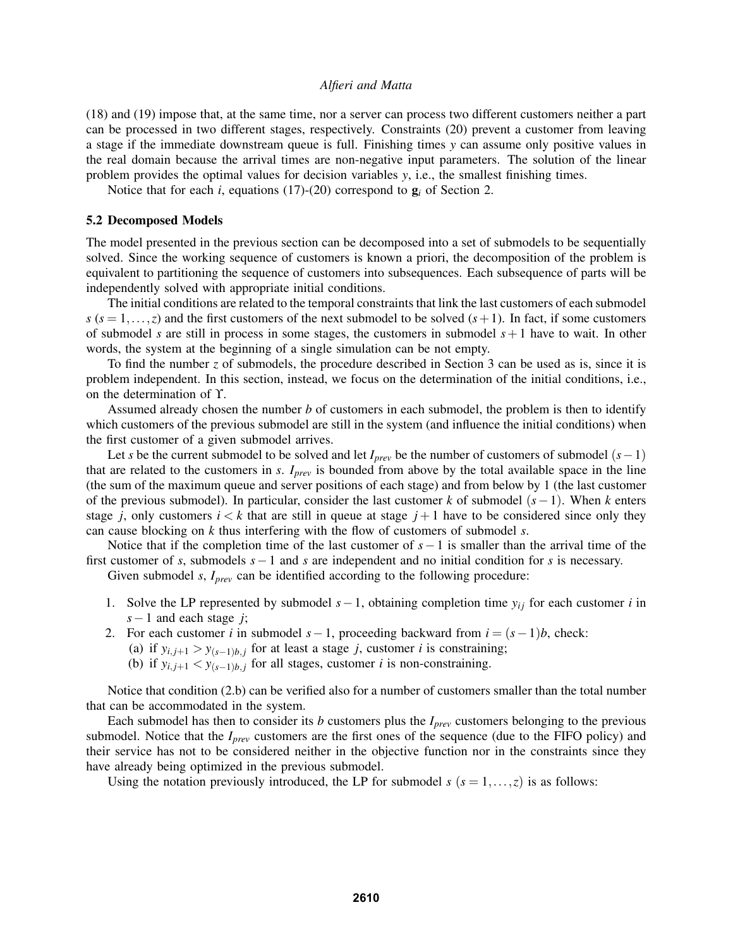(18) and (19) impose that, at the same time, nor a server can process two different customers neither a part can be processed in two different stages, respectively. Constraints (20) prevent a customer from leaving a stage if the immediate downstream queue is full. Finishing times *y* can assume only positive values in the real domain because the arrival times are non-negative input parameters. The solution of the linear problem provides the optimal values for decision variables *y*, i.e., the smallest finishing times.

Notice that for each *i*, equations (17)-(20) correspond to g*<sup>i</sup>* of Section 2.

#### 5.2 Decomposed Models

The model presented in the previous section can be decomposed into a set of submodels to be sequentially solved. Since the working sequence of customers is known a priori, the decomposition of the problem is equivalent to partitioning the sequence of customers into subsequences. Each subsequence of parts will be independently solved with appropriate initial conditions.

The initial conditions are related to the temporal constraints that link the last customers of each submodel  $s$  ( $s = 1, \ldots, z$ ) and the first customers of the next submodel to be solved  $(s + 1)$ . In fact, if some customers of submodel *s* are still in process in some stages, the customers in submodel  $s + 1$  have to wait. In other words, the system at the beginning of a single simulation can be not empty.

To find the number *z* of submodels, the procedure described in Section 3 can be used as is, since it is problem independent. In this section, instead, we focus on the determination of the initial conditions, i.e., on the determination of ϒ.

Assumed already chosen the number *b* of customers in each submodel, the problem is then to identify which customers of the previous submodel are still in the system (and influence the initial conditions) when the first customer of a given submodel arrives.

Let *s* be the current submodel to be solved and let  $I_{prev}$  be the number of customers of submodel  $(s-1)$ that are related to the customers in *s*. *Iprev* is bounded from above by the total available space in the line (the sum of the maximum queue and server positions of each stage) and from below by 1 (the last customer of the previous submodel). In particular, consider the last customer *k* of submodel (*s*−1). When *k* enters stage *j*, only customers  $i < k$  that are still in queue at stage  $j + 1$  have to be considered since only they can cause blocking on *k* thus interfering with the flow of customers of submodel *s*.

Notice that if the completion time of the last customer of *s*−1 is smaller than the arrival time of the first customer of *s*, submodels *s*−1 and *s* are independent and no initial condition for *s* is necessary.

Given submodel *s*, *Iprev* can be identified according to the following procedure:

- 1. Solve the LP represented by submodel *s*−1, obtaining completion time *yi j* for each customer *i* in *s*−1 and each stage *j*;
- 2. For each customer *i* in submodel  $s-1$ , proceeding backward from  $i = (s-1)b$ , check:
	- (a) if  $y_{i,j+1} > y_{(s-1)b,j}$  for at least a stage *j*, customer *i* is constraining;
	- (b) if  $y_{i,j+1} < y_{(s-1)b,j}$  for all stages, customer *i* is non-constraining.

Notice that condition (2.b) can be verified also for a number of customers smaller than the total number that can be accommodated in the system.

Each submodel has then to consider its *b* customers plus the *Iprev* customers belonging to the previous submodel. Notice that the *Iprev* customers are the first ones of the sequence (due to the FIFO policy) and their service has not to be considered neither in the objective function nor in the constraints since they have already being optimized in the previous submodel.

Using the notation previously introduced, the LP for submodel  $s$  ( $s = 1, \ldots, z$ ) is as follows: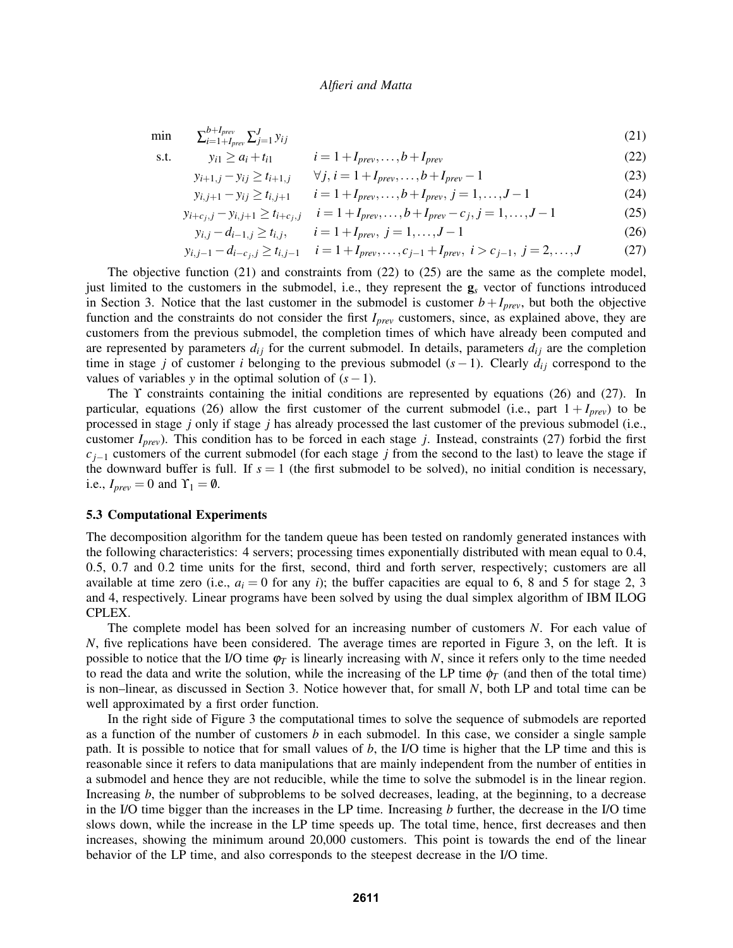$$
\min \qquad \sum_{i=1+I_{prev}}^{b+I_{prev}} \sum_{j=1}^{J} y_{ij} \tag{21}
$$

s.t. 
$$
y_{i1} \ge a_i + t_{i1}
$$
  $i = 1 + I_{prev}, \ldots, b + I_{prev}$  (22)

$$
y_{i+1,j} - y_{ij} \ge t_{i+1,j} \qquad \forall j, i = 1 + I_{prev}, \dots, b + I_{prev} - 1 \tag{23}
$$

$$
y_{i,j+1} - y_{ij} \ge t_{i,j+1} \qquad i = 1 + I_{prev}, \ldots, b + I_{prev}, j = 1, \ldots, J-1
$$
\n(24)

$$
y_{i+c_j,j} - y_{i,j+1} \ge t_{i+c_j,j} \quad i = 1 + I_{prev}, \dots, b + I_{prev} - c_j, j = 1, \dots, J-1
$$
\n(25)

$$
y_{i,j} - d_{i-1,j} \ge t_{i,j}, \qquad i = 1 + I_{prev}, \ j = 1, \ldots, J-1
$$
 (26)

$$
y_{i,j-1} - d_{i-c_j,j} \ge t_{i,j-1} \quad i = 1 + I_{prev}, \dots, c_{j-1} + I_{prev}, \quad i > c_{j-1}, \quad j = 2, \dots, J \tag{27}
$$

The objective function (21) and constraints from (22) to (25) are the same as the complete model, just limited to the customers in the submodel, i.e., they represent the g*<sup>s</sup>* vector of functions introduced in Section 3. Notice that the last customer in the submodel is customer  $b + I_{prev}$ , but both the objective function and the constraints do not consider the first *Iprev* customers, since, as explained above, they are customers from the previous submodel, the completion times of which have already been computed and are represented by parameters  $d_{ij}$  for the current submodel. In details, parameters  $d_{ij}$  are the completion time in stage *j* of customer *i* belonging to the previous submodel  $(s-1)$ . Clearly  $d_{ij}$  correspond to the values of variables *y* in the optimal solution of  $(s-1)$ .

The ϒ constraints containing the initial conditions are represented by equations (26) and (27). In particular, equations (26) allow the first customer of the current submodel (i.e., part  $1 + I_{prev}$ ) to be processed in stage *j* only if stage *j* has already processed the last customer of the previous submodel (i.e., customer *Iprev*). This condition has to be forced in each stage *j*. Instead, constraints (27) forbid the first *cj*−<sup>1</sup> customers of the current submodel (for each stage *j* from the second to the last) to leave the stage if the downward buffer is full. If  $s = 1$  (the first submodel to be solved), no initial condition is necessary, i.e.,  $I_{prev} = 0$  and  $\Upsilon_1 = \emptyset$ .

### 5.3 Computational Experiments

The decomposition algorithm for the tandem queue has been tested on randomly generated instances with the following characteristics: 4 servers; processing times exponentially distributed with mean equal to 0.4, 0.5, 0.7 and 0.2 time units for the first, second, third and forth server, respectively; customers are all available at time zero (i.e.,  $a_i = 0$  for any *i*); the buffer capacities are equal to 6, 8 and 5 for stage 2, 3 and 4, respectively. Linear programs have been solved by using the dual simplex algorithm of IBM ILOG CPLEX.

The complete model has been solved for an increasing number of customers *N*. For each value of *N*, five replications have been considered. The average times are reported in Figure 3, on the left. It is possible to notice that the I/O time  $\varphi_T$  is linearly increasing with *N*, since it refers only to the time needed to read the data and write the solution, while the increasing of the LP time  $\phi_T$  (and then of the total time) is non–linear, as discussed in Section 3. Notice however that, for small *N*, both LP and total time can be well approximated by a first order function.

In the right side of Figure 3 the computational times to solve the sequence of submodels are reported as a function of the number of customers *b* in each submodel. In this case, we consider a single sample path. It is possible to notice that for small values of *b*, the I/O time is higher that the LP time and this is reasonable since it refers to data manipulations that are mainly independent from the number of entities in a submodel and hence they are not reducible, while the time to solve the submodel is in the linear region. Increasing *b*, the number of subproblems to be solved decreases, leading, at the beginning, to a decrease in the I/O time bigger than the increases in the LP time. Increasing *b* further, the decrease in the I/O time slows down, while the increase in the LP time speeds up. The total time, hence, first decreases and then increases, showing the minimum around 20,000 customers. This point is towards the end of the linear behavior of the LP time, and also corresponds to the steepest decrease in the I/O time.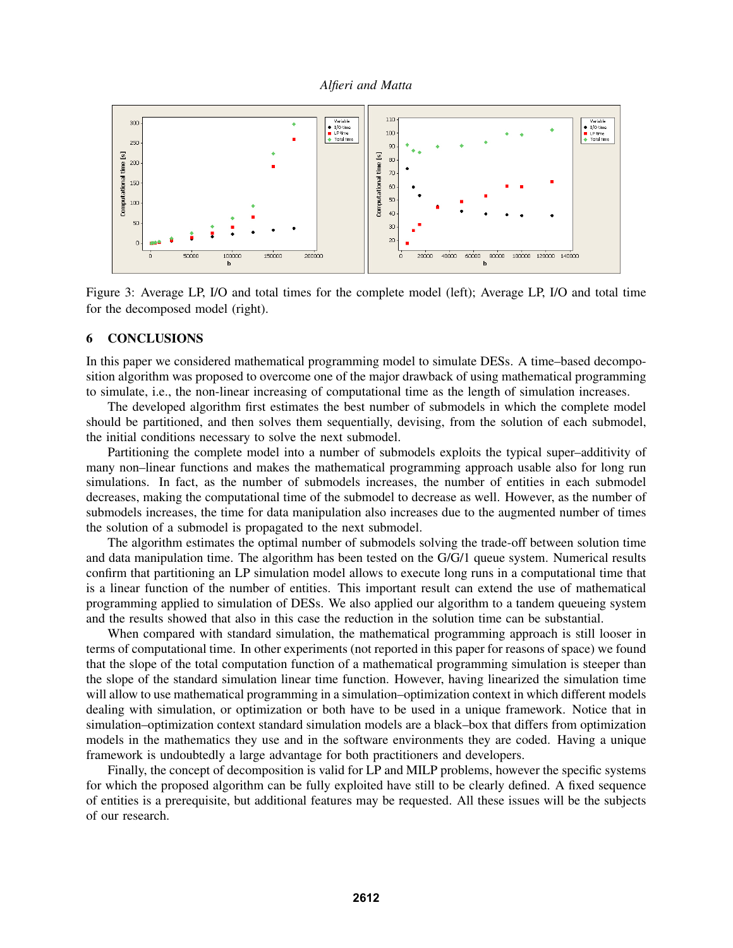

Figure 3: Average LP, I/O and total times for the complete model (left); Average LP, I/O and total time for the decomposed model (right).

## 6 CONCLUSIONS

In this paper we considered mathematical programming model to simulate DESs. A time–based decomposition algorithm was proposed to overcome one of the major drawback of using mathematical programming to simulate, i.e., the non-linear increasing of computational time as the length of simulation increases.

The developed algorithm first estimates the best number of submodels in which the complete model should be partitioned, and then solves them sequentially, devising, from the solution of each submodel, the initial conditions necessary to solve the next submodel.

Partitioning the complete model into a number of submodels exploits the typical super–additivity of many non–linear functions and makes the mathematical programming approach usable also for long run simulations. In fact, as the number of submodels increases, the number of entities in each submodel decreases, making the computational time of the submodel to decrease as well. However, as the number of submodels increases, the time for data manipulation also increases due to the augmented number of times the solution of a submodel is propagated to the next submodel.

The algorithm estimates the optimal number of submodels solving the trade-off between solution time and data manipulation time. The algorithm has been tested on the G/G/1 queue system. Numerical results confirm that partitioning an LP simulation model allows to execute long runs in a computational time that is a linear function of the number of entities. This important result can extend the use of mathematical programming applied to simulation of DESs. We also applied our algorithm to a tandem queueing system and the results showed that also in this case the reduction in the solution time can be substantial.

When compared with standard simulation, the mathematical programming approach is still looser in terms of computational time. In other experiments (not reported in this paper for reasons of space) we found that the slope of the total computation function of a mathematical programming simulation is steeper than the slope of the standard simulation linear time function. However, having linearized the simulation time will allow to use mathematical programming in a simulation–optimization context in which different models dealing with simulation, or optimization or both have to be used in a unique framework. Notice that in simulation–optimization context standard simulation models are a black–box that differs from optimization models in the mathematics they use and in the software environments they are coded. Having a unique framework is undoubtedly a large advantage for both practitioners and developers.

Finally, the concept of decomposition is valid for LP and MILP problems, however the specific systems for which the proposed algorithm can be fully exploited have still to be clearly defined. A fixed sequence of entities is a prerequisite, but additional features may be requested. All these issues will be the subjects of our research.